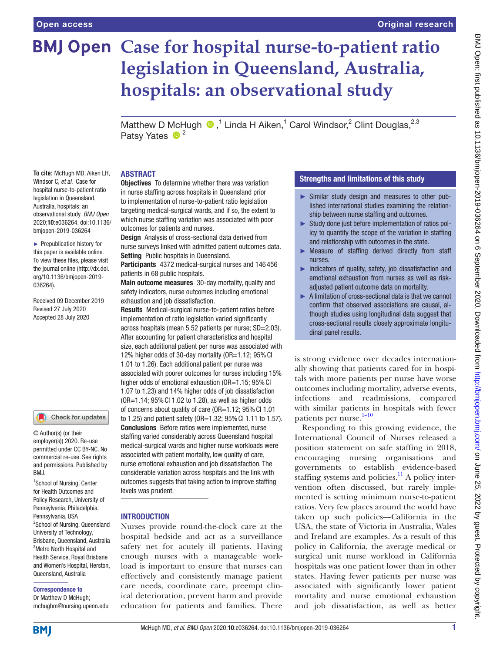# **BMJ Open Case for hospital nurse-to-patient ratio legislation in Queensland, Australia, hospitals: an observational study**

Matthew D McHugh  $\bigcirc$ ,<sup>1</sup> Linda H Aiken,<sup>1</sup> Carol Windsor,<sup>2</sup> Clint Douglas,<sup>2,3</sup> Patsy Yates  $\bullet$ <sup>2</sup>

#### ABSTRACT

**To cite:** McHugh MD, Aiken LH, Windsor C, *et al*. Case for hospital nurse-to-patient ratio legislation in Queensland, Australia, hospitals: an observational study. *BMJ Open* 2020;10:e036264. doi:10.1136/ bmjopen-2019-036264

► Prepublication history for this paper is available online. To view these files, please visit the journal online (http://dx.doi. org/10.1136/bmjopen-2019- 036264).

Received 09 December 2019 Revised 27 July 2020 Accepted 28 July 2020

#### Check for updates

© Author(s) (or their employer(s)) 2020. Re-use permitted under CC BY-NC. No commercial re-use. See rights and permissions. Published by BMJ.

<sup>1</sup>School of Nursing, Center for Health Outcomes and Policy Research, University of Pennsylvania, Philadelphia, Pennsylvania, USA <sup>2</sup>School of Nursing, Queensland University of Technology, Brisbane, Queensland, Australia <sup>3</sup>Metro North Hospital and Health Service, Royal Brisbane and Women's Hospital, Herston, Queensland, Australia

#### Correspondence to

Dr Matthew D McHugh; mchughm@nursing.upenn.edu **Objectives** To determine whether there was variation in nurse staffing across hospitals in Queensland prior to implementation of nurse-to-patient ratio legislation targeting medical-surgical wards, and if so, the extent to which nurse staffing variation was associated with poor outcomes for patients and nurses.

Design Analysis of cross-sectional data derived from nurse surveys linked with admitted patient outcomes data. Setting Public hospitals in Queensland.

Participants 4372 medical-surgical nurses and 146 456 patients in 68 public hospitals.

Main outcome measures 30-day mortality, quality and safety indicators, nurse outcomes including emotional exhaustion and job dissatisfaction.

Results Medical-surgical nurse-to-patient ratios before implementation of ratio legislation varied significantly across hospitals (mean 5.52 patients per nurse; SD=2.03). After accounting for patient characteristics and hospital size, each additional patient per nurse was associated with 12% higher odds of 30-day mortality (OR=1.12; 95%CI 1.01 to 1.26). Each additional patient per nurse was associated with poorer outcomes for nurses including 15% higher odds of emotional exhaustion ( $OR=1.15$ ; 95% CI 1.07 to 1.23) and 14% higher odds of job dissatisfaction  $(OR=1.14; 95\% \text{ CI} 1.02 \text{ to } 1.28)$ , as well as higher odds of concerns about quality of care (OR=1.12; 95%CI 1.01 to 1.25) and patient safety (OR=1.32; 95%CI 1.11 to 1.57). Conclusions Before ratios were implemented, nurse staffing varied considerably across Queensland hospital medical-surgical wards and higher nurse workloads were associated with patient mortality, low quality of care, nurse emotional exhaustion and job dissatisfaction. The considerable variation across hospitals and the link with outcomes suggests that taking action to improve staffing levels was prudent.

#### INTRODUCTION

Nurses provide round-the-clock care at the hospital bedside and act as a surveillance safety net for acutely ill patients. Having enough nurses with a manageable workload is important to ensure that nurses can effectively and consistently manage patient care needs, coordinate care, preempt clinical deterioration, prevent harm and provide education for patients and families. There

#### Strengths and limitations of this study

- ► Similar study design and measures to other published international studies examining the relationship between nurse staffing and outcomes.
- ► Study done just before implementation of ratios policy to quantify the scope of the variation in staffing and relationship with outcomes in the state.
- ► Measure of staffing derived directly from staff nurses.
- ► Indicators of quality, safety, job dissatisfaction and emotional exhaustion from nurses as well as riskadjusted patient outcome data on mortality.
- ► A limitation of cross-sectional data is that we cannot confirm that observed associations are causal, although studies using longitudinal data suggest that cross-sectional results closely approximate longitudinal panel results.

is strong evidence over decades internationally showing that patients cared for in hospitals with more patients per nurse have worse outcomes including mortality, adverse events, infections and readmissions, compared with similar patients in hospitals with fewer patients per nurse. $1-10$ 

Responding to this growing evidence, the International Council of Nurses released a position statement on safe staffing in 2018, encouraging nursing organisations and governments to establish evidence-based staffing systems and policies. $^{11}$  A policy intervention often discussed, but rarely implemented is setting minimum nurse-to-patient ratios. Very few places around the world have taken up such policies—California in the USA, the state of Victoria in Australia, Wales and Ireland are examples. As a result of this policy in California, the average medical or surgical unit nurse workload in California hospitals was one patient lower than in other states. Having fewer patients per nurse was associated with significantly lower patient mortality and nurse emotional exhaustion and job dissatisfaction, as well as better

**BMI**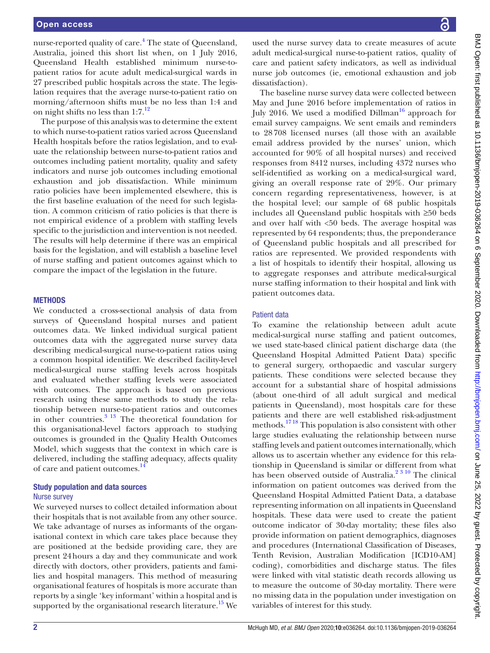nurse-reported quality of care.<sup>[4](#page-5-1)</sup> The state of Queensland, Australia, joined this short list when, on 1 July 2016, Queensland Health established minimum nurse-topatient ratios for acute adult medical-surgical wards in 27 prescribed public hospitals across the state. The legislation requires that the average nurse-to-patient ratio on morning/afternoon shifts must be no less than 1:4 and on night shifts no less than 1:7.<sup>[12](#page-6-1)</sup>

The purpose of this analysis was to determine the extent to which nurse-to-patient ratios varied across Queensland Health hospitals before the ratios legislation, and to evaluate the relationship between nurse-to-patient ratios and outcomes including patient mortality, quality and safety indicators and nurse job outcomes including emotional exhaustion and job dissatisfaction. While minimum ratio policies have been implemented elsewhere, this is the first baseline evaluation of the need for such legislation. A common criticism of ratio policies is that there is not empirical evidence of a problem with staffing levels specific to the jurisdiction and intervention is not needed. The results will help determine if there was an empirical basis for the legislation, and will establish a baseline level of nurse staffing and patient outcomes against which to compare the impact of the legislation in the future.

#### **METHODS**

We conducted a cross-sectional analysis of data from surveys of Queensland hospital nurses and patient outcomes data. We linked individual surgical patient outcomes data with the aggregated nurse survey data describing medical-surgical nurse-to-patient ratios using a common hospital identifier. We described facility-level medical-surgical nurse staffing levels across hospitals and evaluated whether staffing levels were associated with outcomes. The approach is based on previous research using these same methods to study the relationship between nurse-to-patient ratios and outcomes in other countries. $3^{13}$  The theoretical foundation for this organisational-level factors approach to studying outcomes is grounded in the Quality Health Outcomes Model, which suggests that the context in which care is delivered, including the staffing adequacy, affects quality of care and patient outcomes.<sup>14</sup>

#### Study population and data sources Nurse survey

We surveyed nurses to collect detailed information about their hospitals that is not available from any other source. We take advantage of nurses as informants of the organisational context in which care takes place because they are positioned at the bedside providing care, they are present 24hours a day and they communicate and work directly with doctors, other providers, patients and families and hospital managers. This method of measuring organisational features of hospitals is more accurate than reports by a single 'key informant' within a hospital and is supported by the organisational research literature.<sup>15</sup> We

used the nurse survey data to create measures of acute adult medical-surgical nurse-to-patient ratios, quality of care and patient safety indicators, as well as individual nurse job outcomes (ie, emotional exhaustion and job dissatisfaction).

The baseline nurse survey data were collected between May and June 2016 before implementation of ratios in July 20[16](#page-6-4). We used a modified Dillman<sup>16</sup> approach for email survey campaigns. We sent emails and reminders to 28 708 licensed nurses (all those with an available email address provided by the nurses' union, which accounted for 90% of all hospital nurses) and received responses from 8412 nurses, including 4372 nurses who self-identified as working on a medical-surgical ward, giving an overall response rate of 29%. Our primary concern regarding representativeness, however, is at the hospital level; our sample of 68 public hospitals includes all Queensland public hospitals with ≥50 beds and over half with <50 beds. The average hospital was represented by 64 respondents; thus, the preponderance of Queensland public hospitals and all prescribed for ratios are represented. We provided respondents with a list of hospitals to identify their hospital, allowing us to aggregate responses and attribute medical-surgical nurse staffing information to their hospital and link with patient outcomes data.

#### Patient data

To examine the relationship between adult acute medical-surgical nurse staffing and patient outcomes, we used state-based clinical patient discharge data (the Queensland Hospital Admitted Patient Data) specific to general surgery, orthopaedic and vascular surgery patients. These conditions were selected because they account for a substantial share of hospital admissions (about one-third of all adult surgical and medical patients in Queensland), most hospitals care for these patients and there are well established risk-adjustment methods.<sup>1718</sup> This population is also consistent with other large studies evaluating the relationship between nurse staffing levels and patient outcomes internationally, which allows us to ascertain whether any evidence for this relationship in Queensland is similar or different from what has been observed outside of Australia.<sup>[2 3 10](#page-5-3)</sup> The clinical information on patient outcomes was derived from the Queensland Hospital Admitted Patient Data, a database representing information on all inpatients in Queensland hospitals. These data were used to create the patient outcome indicator of 30-day mortality; these files also provide information on patient demographics, diagnoses and procedures (International Classification of Diseases, Tenth Revision, Australian Modification [ICD10-AM] coding), comorbidities and discharge status. The files were linked with vital statistic death records allowing us to measure the outcome of 30-day mortality. There were no missing data in the population under investigation on variables of interest for this study.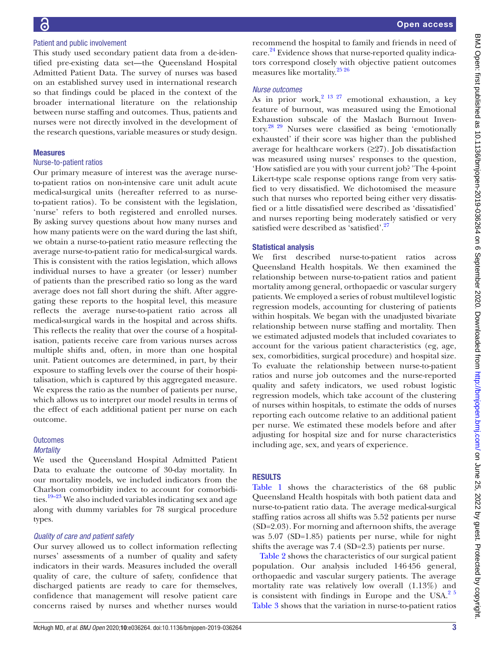# Patient and public involvement

This study used secondary patient data from a de-identified pre-existing data set—the Queensland Hospital Admitted Patient Data. The survey of nurses was based on an established survey used in international research so that findings could be placed in the context of the broader international literature on the relationship between nurse staffing and outcomes. Thus, patients and nurses were not directly involved in the development of the research questions, variable measures or study design.

#### Measures

#### Nurse-to-patient ratios

Our primary measure of interest was the average nurseto-patient ratios on non-intensive care unit adult acute medical-surgical units (hereafter referred to as nurseto-patient ratios). To be consistent with the legislation, 'nurse' refers to both registered and enrolled nurses. By asking survey questions about how many nurses and how many patients were on the ward during the last shift, we obtain a nurse-to-patient ratio measure reflecting the average nurse-to-patient ratio for medical-surgical wards. This is consistent with the ratios legislation, which allows individual nurses to have a greater (or lesser) number of patients than the prescribed ratio so long as the ward average does not fall short during the shift. After aggregating these reports to the hospital level, this measure reflects the average nurse-to-patient ratio across all medical-surgical wards in the hospital and across shifts. This reflects the reality that over the course of a hospitalisation, patients receive care from various nurses across multiple shifts and, often, in more than one hospital unit. Patient outcomes are determined, in part, by their exposure to staffing levels over the course of their hospitalisation, which is captured by this aggregated measure. We express the ratio as the number of patients per nurse, which allows us to interpret our model results in terms of the effect of each additional patient per nurse on each outcome.

## **Outcomes**

#### *Mortality*

We used the Queensland Hospital Admitted Patient Data to evaluate the outcome of 30-day mortality. In our mortality models, we included indicators from the Charlson comorbidity index to account for comorbidities.[19–23](#page-6-6) We also included variables indicating sex and age along with dummy variables for 78 surgical procedure types.

#### *Quality of care and patient safety*

Our survey allowed us to collect information reflecting nurses' assessments of a number of quality and safety indicators in their wards. Measures included the overall quality of care, the culture of safety, confidence that discharged patients are ready to care for themselves, confidence that management will resolve patient care concerns raised by nurses and whether nurses would recommend the hospital to family and friends in need of care.<sup>24</sup> Evidence shows that nurse-reported quality indicators correspond closely with objective patient outcomes measures like mortality[.25 26](#page-6-8)

#### *Nurse outcomes*

As in prior work,  $2^{13}$   $27$  emotional exhaustion, a key feature of burnout, was measured using the Emotional Exhaustion subscale of the Maslach Burnout Inventory.[28 29](#page-6-9) Nurses were classified as being 'emotionally exhausted' if their score was higher than the published average for healthcare workers  $(≥27)$ . Job dissatisfaction was measured using nurses' responses to the question, 'How satisfied are you with your current job?*'* The 4-point Likert-type scale response options range from very satisfied to very dissatisfied. We dichotomised the measure such that nurses who reported being either very dissatisfied or a little dissatisfied were described as 'dissatisfied' and nurses reporting being moderately satisfied or very satisfied were described as 'satisfied'.<sup>27</sup>

#### Statistical analysis

We first described nurse-to-patient ratios across Queensland Health hospitals. We then examined the relationship between nurse-to-patient ratios and patient mortality among general, orthopaedic or vascular surgery patients. We employed a series of robust multilevel logistic regression models, accounting for clustering of patients within hospitals. We began with the unadjusted bivariate relationship between nurse staffing and mortality. Then we estimated adjusted models that included covariates to account for the various patient characteristics (eg, age, sex, comorbidities, surgical procedure) and hospital size. To evaluate the relationship between nurse-to-patient ratios and nurse job outcomes and the nurse-reported quality and safety indicators, we used robust logistic regression models, which take account of the clustering of nurses within hospitals, to estimate the odds of nurses reporting each outcome relative to an additional patient per nurse. We estimated these models before and after adjusting for hospital size and for nurse characteristics including age, sex, and years of experience.

# **RESULTS**

[Table](#page-3-0) 1 shows the characteristics of the 68 public Queensland Health hospitals with both patient data and nurse-to-patient ratio data. The average medical-surgical staffing ratios across all shifts was 5.52 patients per nurse (SD=2.03). For morning and afternoon shifts, the average was 5.07 (SD=1.85) patients per nurse, while for night shifts the average was 7.4 (SD=2.3) patients per nurse.

[Table](#page-3-1) 2 shows the characteristics of our surgical patient population. Our analysis included 146456 general, orthopaedic and vascular surgery patients. The average mortality rate was relatively low overall (1.13%) and is consistent with findings in Europe and the USA. $25$ [Table](#page-3-2) 3 shows that the variation in nurse-to-patient ratios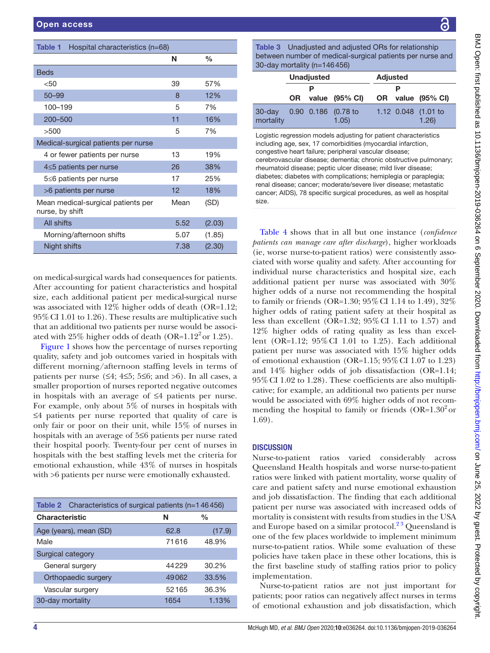<span id="page-3-0"></span>

| Table 1<br>Hospital characteristics (n=68)            |        |        |  |  |
|-------------------------------------------------------|--------|--------|--|--|
|                                                       | N      | $\%$   |  |  |
| <b>Beds</b>                                           |        |        |  |  |
| $50$                                                  | 39     | 57%    |  |  |
| 50-99                                                 | 8      | 12%    |  |  |
| 100-199                                               | 5      | 7%     |  |  |
| 200-500                                               | 11     | 16%    |  |  |
| >500                                                  | 5      | 7%     |  |  |
| Medical-surgical patients per nurse                   |        |        |  |  |
| 4 or fewer patients per nurse                         | 19%    |        |  |  |
| $4 \leq 5$ patients per nurse                         | 26     | 38%    |  |  |
| 5≤6 patients per nurse                                | 17     | 25%    |  |  |
| >6 patients per nurse                                 | 12     | 18%    |  |  |
| Mean medical-surgical patients per<br>nurse, by shift | Mean   | (SD)   |  |  |
| <b>All shifts</b>                                     | 5.52   | (2.03) |  |  |
| Morning/afternoon shifts                              | (1.85) |        |  |  |
| Night shifts                                          | 7.38   | (2.30) |  |  |

on medical-surgical wards had consequences for patients. After accounting for patient characteristics and hospital size, each additional patient per medical-surgical nurse was associated with 12% higher odds of death (OR=1.12; 95%CI 1.01 to 1.26). These results are multiplicative such that an additional two patients per nurse would be associated with  $25\%$  higher odds of death (OR= $1.12^2$ or 1.25).

[Figure](#page-4-0) 1 shows how the percentage of nurses reporting quality, safety and job outcomes varied in hospitals with different morning/afternoon staffing levels in terms of patients per nurse ( $\leq 4$ ;  $4 \leq 5$ ;  $5 \leq 6$ ; and  $> 6$ ). In all cases, a smaller proportion of nurses reported negative outcomes in hospitals with an average of ≤4 patients per nurse. For example, only about 5% of nurses in hospitals with ≤4 patients per nurse reported that quality of care is only fair or poor on their unit, while 15% of nurses in hospitals with an average of 5≤6 patients per nurse rated their hospital poorly. Twenty-four per cent of nurses in hospitals with the best staffing levels met the criteria for emotional exhaustion, while 43% of nurses in hospitals with >6 patients per nurse were emotionally exhausted.

<span id="page-3-1"></span>

| <b>Table 2</b> Characteristics of surgical patients ( $n=146456$ ) |       |               |  |  |  |  |
|--------------------------------------------------------------------|-------|---------------|--|--|--|--|
| <b>Characteristic</b>                                              | N     | $\frac{0}{0}$ |  |  |  |  |
| Age (years), mean (SD)                                             | 62.8  | (17.9)        |  |  |  |  |
| Male                                                               | 71616 | 48.9%         |  |  |  |  |
| Surgical category                                                  |       |               |  |  |  |  |
| General surgery                                                    | 44229 | 30.2%         |  |  |  |  |
| Orthopaedic surgery                                                | 49062 | 33.5%         |  |  |  |  |
| Vascular surgery                                                   | 52165 | 36.3%         |  |  |  |  |
| 30-day mortality                                                   | 1654  | 1.13%         |  |  |  |  |

႕

<span id="page-3-2"></span>

| $\frac{1}{2}$ and $\frac{1}{2}$ and $\frac{1}{2}$ and $\frac{1}{2}$ and $\frac{1}{2}$ and $\frac{1}{2}$ and $\frac{1}{2}$ |                   |  |                                     |  |  |                             |  |
|---------------------------------------------------------------------------------------------------------------------------|-------------------|--|-------------------------------------|--|--|-----------------------------|--|
|                                                                                                                           | <b>Unadjusted</b> |  | <b>Adjusted</b>                     |  |  |                             |  |
|                                                                                                                           |                   |  | OR value (95% CI) OR value (95% CI) |  |  |                             |  |
| $30$ -day<br>mortality                                                                                                    |                   |  | 0.90 0.186 (0.78 to<br>1.05         |  |  | 1.12 0.048 (1.01 to<br>1.26 |  |

Logistic regression models adjusting for patient characteristics including age, sex, 17 comorbidities (myocardial infarction, congestive heart failure; peripheral vascular disease; cerebrovascular disease; dementia; chronic obstructive pulmonary; rheumatoid disease; peptic ulcer disease; mild liver disease; diabetes; diabetes with complications; hemiplegia or paraplegia; renal disease; cancer; moderate/severe liver disease; metastatic cancer; AIDS), 78 specific surgical procedures, as well as hospital size.

[Table](#page-4-1) 4 shows that in all but one instance (*confidence patients can manage care after discharge*), higher workloads (ie, worse nurse-to-patient ratios) were consistently associated with worse quality and safety. After accounting for individual nurse characteristics and hospital size, each additional patient per nurse was associated with 30% higher odds of a nurse not recommending the hospital to family or friends (OR=1.30; 95%CI 1.14 to 1.49), 32% higher odds of rating patient safety at their hospital as less than excellent (OR=1.32; 95%CI 1.11 to 1.57) and 12% higher odds of rating quality as less than excellent (OR=1.12; 95%CI 1.01 to 1.25). Each additional patient per nurse was associated with 15% higher odds of emotional exhaustion (OR=1.15;  $95\%$  CI 1.07 to 1.23) and 14% higher odds of job dissatisfaction (OR=1.14; 95%CI 1.02 to 1.28). These coefficients are also multiplicative; for example, an additional two patients per nurse would be associated with 69% higher odds of not recommending the hospital to family or friends  $(OR=1.30^2$  or 1.69).

## **DISCUSSION**

Nurse-to-patient ratios varied considerably across Queensland Health hospitals and worse nurse-to-patient ratios were linked with patient mortality, worse quality of care and patient safety and nurse emotional exhaustion and job dissatisfaction. The finding that each additional patient per nurse was associated with increased odds of mortality is consistent with results from studies in the USA and Europe based on a similar protocol. $2<sup>3</sup>$  Queensland is one of the few places worldwide to implement minimum nurse-to-patient ratios. While some evaluation of these policies have taken place in these other locations, this is the first baseline study of staffing ratios prior to policy implementation.

Nurse-to-patient ratios are not just important for patients; poor ratios can negatively affect nurses in terms of emotional exhaustion and job dissatisfaction, which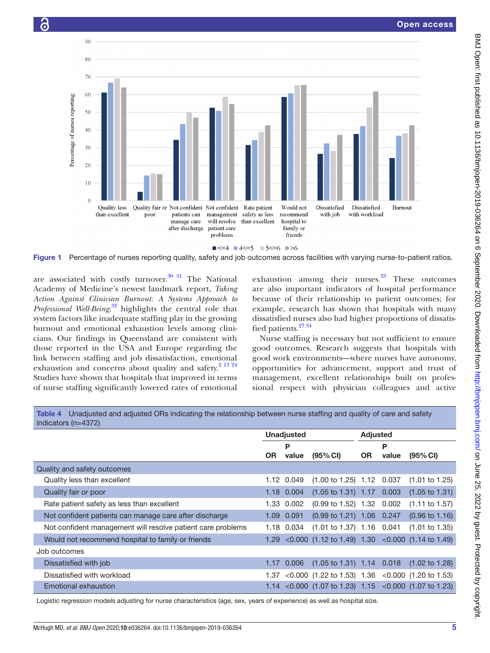

<span id="page-4-0"></span>Figure 1 Percentage of nurses reporting quality, safety and job outcomes across facilities with varying nurse-to-patient ratios.

are associated with costly turnover.<sup>30</sup> <sup>31</sup> The National Academy of Medicine's newest landmark report, *Taking Action Against Clinician Burnout: A Systems Approach to Professional Well-Being*, [32](#page-6-12) highlights the central role that system factors like inadequate staffing play in the growing burnout and emotional exhaustion levels among clinicians. Our findings in Queensland are consistent with those reported in the USA and Europe regarding the link between staffing and job dissatisfaction, emotional exhaustion and concerns about quality and safety. $2^{13}$   $^{24}$ Studies have shown that hospitals that improved in terms of nurse staffing significantly lowered rates of emotional exhaustion among their nurses. $33$  These outcomes are also important indicators of hospital performance because of their relationship to patient outcomes; for example, research has shown that hospitals with many dissatisfied nurses also had higher proportions of dissatisfied patients[.27 34](#page-6-10)

Nurse staffing is necessary but not sufficient to ensure good outcomes. Research suggests that hospitals with good work environments—where nurses have autonomy, opportunities for advancement, support and trust of management, excellent relationships built on professional respect with physician colleagues and active

<span id="page-4-1"></span>Table 4 Unadjusted and adjusted ORs indicating the relationship between nurse staffing and quality of care and safety indicators (n=4372)

|                                                             | <b>Unadjusted</b> |            |                                                                 | <b>Adjusted</b> |       |                           |
|-------------------------------------------------------------|-------------------|------------|-----------------------------------------------------------------|-----------------|-------|---------------------------|
|                                                             |                   | P          |                                                                 |                 | P     |                           |
|                                                             | OR.               | value      | (95% CI)                                                        | <b>OR</b>       | value | $(95% \, \text{Cl})$      |
| Quality and safety outcomes                                 |                   |            |                                                                 |                 |       |                           |
| Quality less than excellent                                 |                   | 1.12 0.049 | $(1.00 \text{ to } 1.25)$ 1.12 0.037                            |                 |       | $(1.01 \text{ to } 1.25)$ |
| Quality fair or poor                                        |                   | 1.18 0.004 | $(1.05 \text{ to } 1.31)$ 1.17                                  |                 | 0.003 | $(1.05 \text{ to } 1.31)$ |
| Rate patient safety as less than excellent                  |                   | 1.33 0.002 | $(0.99 \text{ to } 1.52)$ 1.32                                  |                 | 0.002 | $(1.11 \text{ to } 1.57)$ |
| Not confident patients can manage care after discharge      |                   | 1.09 0.091 | $(0.99 \text{ to } 1.21)$ 1.06 0.247                            |                 |       | $(0.96 \text{ to } 1.16)$ |
| Not confident management will resolve patient care problems | 1.18              | 0.034      | $(1.01 \text{ to } 1.37)$ 1.16 0.041                            |                 |       | $(1.01 \text{ to } 1.35)$ |
| Would not recommend hospital to family or friends           |                   |            | 1.29 < $0.000$ (1.12 to 1.49) 1.30 < 0.000 (1.14 to 1.49)       |                 |       |                           |
| Job outcomes                                                |                   |            |                                                                 |                 |       |                           |
| Dissatisfied with job                                       | 1.17              | 0.006      | $(1.05 \text{ to } 1.31)$ 1.14 0.018                            |                 |       | $(1.02 \text{ to } 1.28)$ |
| Dissatisfied with workload                                  | 1.37              |            | $< 0.000$ (1.22 to 1.53) 1.36 $< 0.000$ (1.20 to 1.53)          |                 |       |                           |
| Emotional exhaustion                                        |                   |            | 1.14 $\lt$ 0.000 (1.07 to 1.23) 1.15 $\lt$ 0.000 (1.07 to 1.23) |                 |       |                           |

Logistic regression models adjusting for nurse characteristics (age, sex, years of experience) as well as hospital size.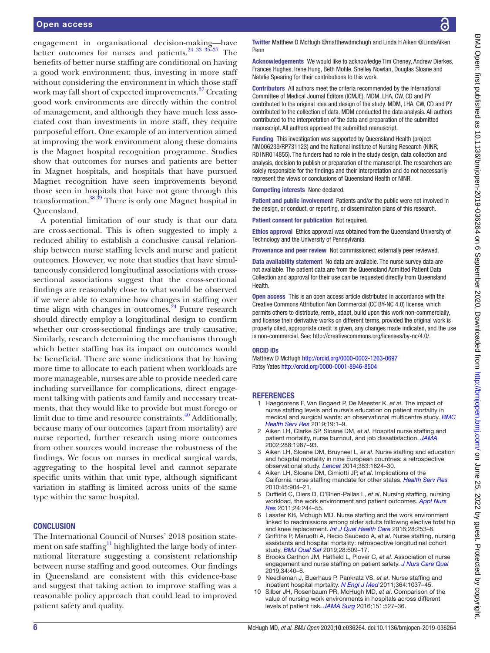engagement in organisational decision-making—have better outcomes for nurses and patients. $24 \frac{33}{35} \cdot 35 - 37$  The benefits of better nurse staffing are conditional on having a good work environment; thus, investing in more staff without considering the environment in which those staff work may fall short of expected improvements.<sup>[37](#page-6-14)</sup> Creating good work environments are directly within the control of management, and although they have much less associated cost than investments in more staff, they require purposeful effort. One example of an intervention aimed at improving the work environment along these domains is the Magnet hospital recognition programme. Studies show that outcomes for nurses and patients are better in Magnet hospitals, and hospitals that have pursued Magnet recognition have seen improvements beyond those seen in hospitals that have not gone through this transformation.[38 39](#page-6-15) There is only one Magnet hospital in Queensland.

A potential limitation of our study is that our data are cross-sectional. This is often suggested to imply a reduced ability to establish a conclusive causal relationship between nurse staffing levels and nurse and patient outcomes. However, we note that studies that have simultaneously considered longitudinal associations with crosssectional associations suggest that the cross-sectional findings are reasonably close to what would be observed if we were able to examine how changes in staffing over time align with changes in outcomes. $^{24}$  Future research should directly employ a longitudinal design to confirm whether our cross-sectional findings are truly causative. Similarly, research determining the mechanisms through which better staffing has its impact on outcomes would be beneficial. There are some indications that by having more time to allocate to each patient when workloads are more manageable, nurses are able to provide needed care including surveillance for complications, direct engagement talking with patients and family and necessary treatments, that they would like to provide but must forego or limit due to time and resource constraints. $40$  Additionally, because many of our outcomes (apart from mortality) are nurse reported, further research using more outcomes from other sources would increase the robustness of the findings. We focus on nurses in medical surgical wards, aggregating to the hospital level and cannot separate specific units within that unit type, although significant variation in staffing is limited across units of the same type within the same hospital.

#### **CONCLUSION**

The International Council of Nurses' 2018 position state-ment on safe staffing<sup>[11](#page-6-0)</sup> highlighted the large body of international literature suggesting a consistent relationship between nurse staffing and good outcomes. Our findings in Queensland are consistent with this evidence-base and suggest that taking action to improve staffing was a reasonable policy approach that could lead to improved patient safety and quality.

Acknowledgements We would like to acknowledge Tim Cheney, Andrew Dierkes, Frances Hughes, Irene Hung, Beth Mohle, Shelley Nowlan, Douglas Sloane and Natalie Spearing for their contributions to this work.

Contributors All authors meet the criteria recommended by the International Committee of Medical Journal Editors (ICMJE). MDM, LHA, CW, CD and PY contributed to the original idea and design of the study. MDM, LHA, CW, CD and PY contributed to the collection of data. MDM conducted the data analysis. All authors contributed to the interpretation of the data and preparation of the submitted manuscript. All authors approved the submitted manuscript.

Funding This investigation was supported by Queensland Health (project NM006239/RP731123) and the National Institute of Nursing Research (NINR; R01NR014855). The funders had no role in the study design, data collection and analysis, decision to publish or preparation of the manuscript. The researchers are solely responsible for the findings and their interpretation and do not necessarily represent the views or conclusions of Queensland Health or NINR.

Competing interests None declared.

Patient and public involvement Patients and/or the public were not involved in the design, or conduct, or reporting, or dissemination plans of this research.

Patient consent for publication Not required.

Ethics approval Ethics approval was obtained from the Queensland University of Technology and the University of Pennsylvania.

Provenance and peer review Not commissioned; externally peer reviewed.

Data availability statement No data are available. The nurse survey data are not available. The patient data are from the Queensland Admitted Patient Data Collection and approval for their use can be requested directly from Queensland Health.

Open access This is an open access article distributed in accordance with the Creative Commons Attribution Non Commercial (CC BY-NC 4.0) license, which permits others to distribute, remix, adapt, build upon this work non-commercially, and license their derivative works on different terms, provided the original work is properly cited, appropriate credit is given, any changes made indicated, and the use is non-commercial. See: [http://creativecommons.org/licenses/by-nc/4.0/.](http://creativecommons.org/licenses/by-nc/4.0/)

#### ORCID iDs

Matthew D McHugh<http://orcid.org/0000-0002-1263-0697> Patsy Yates<http://orcid.org/0000-0001-8946-8504>

#### **REFERENCES**

- <span id="page-5-0"></span>1 Haegdorens F, Van Bogaert P, De Meester K, *et al*. The impact of nurse staffing levels and nurse's education on patient mortality in medical and surgical wards: an observational multicentre study. *[BMC](http://dx.doi.org/10.1186/s12913-019-4688-7)  [Health Serv Res](http://dx.doi.org/10.1186/s12913-019-4688-7)* 2019;19:1–9.
- <span id="page-5-3"></span>2 Aiken LH, Clarke SP, Sloane DM, *et al*. Hospital nurse staffing and patient mortality, nurse burnout, and job dissatisfaction. *[JAMA](http://dx.doi.org/10.1001/jama.288.16.1987)* 2002;288:1987–93.
- <span id="page-5-2"></span>3 Aiken LH, Sloane DM, Bruyneel L, *et al*. Nurse staffing and education and hospital mortality in nine European countries: a retrospective observational study. *[Lancet](http://dx.doi.org/10.1016/S0140-6736(13)62631-8)* 2014;383:1824–30.
- <span id="page-5-1"></span>4 Aiken LH, Sloane DM, Cimiotti JP, *et al*. Implications of the California nurse staffing mandate for other states. *[Health Serv Res](http://dx.doi.org/10.1111/j.1475-6773.2010.01114.x)* 2010;45:904–21.
- 5 Duffield C, Diers D, O'Brien-Pallas L, *et al*. Nursing staffing, nursing workload, the work environment and patient outcomes. *[Appl Nurs](http://dx.doi.org/10.1016/j.apnr.2009.12.004)  [Res](http://dx.doi.org/10.1016/j.apnr.2009.12.004)* 2011;24:244–55.
- 6 Lasater KB, Mchugh MD. Nurse staffing and the work environment linked to readmissions among older adults following elective total hip and knee replacement. *[Int J Qual Health Care](http://dx.doi.org/10.1093/intqhc/mzw007)* 2016;28:253–8.
- 7 Griffiths P, Maruotti A, Recio Saucedo A, *et al*. Nurse staffing, nursing assistants and hospital mortality: retrospective longitudinal cohort study. *[BMJ Qual Saf](http://dx.doi.org/10.1136/bmjqs-2018-008043)* 2019;28:609–17.
- 8 Brooks Carthon JM, Hatfield L, Plover C, *et al*. Association of nurse engagement and nurse staffing on patient safety. *[J Nurs Care Qual](http://dx.doi.org/10.1097/NCQ.0000000000000334)* 2019;34:40–6.
- 9 Needleman J, Buerhaus P, Pankratz VS, *et al*. Nurse staffing and inpatient hospital mortality. *[N Engl J Med](http://dx.doi.org/10.1056/NEJMsa1001025)* 2011;364:1037–45.
- 10 Silber JH, Rosenbaum PR, McHugh MD, *et al*. Comparison of the value of nursing work environments in hospitals across different levels of patient risk. *[JAMA Surg](http://dx.doi.org/10.1001/jamasurg.2015.4908)* 2016;151:527–36.